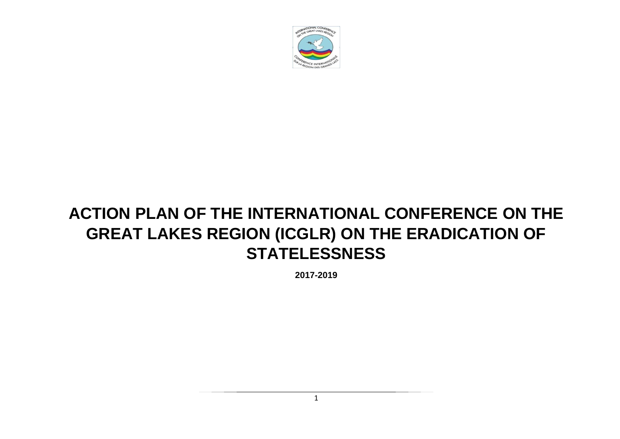

# **ACTION PLAN OF THE INTERNATIONAL CONFERENCE ON THE GREAT LAKES REGION (ICGLR) ON THE ERADICATION OF STATELESSNESS**

**2017-2019**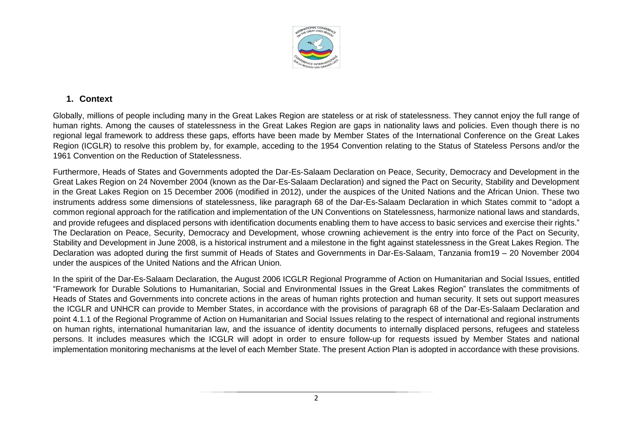

### **1. Context**

Globally, millions of people including many in the Great Lakes Region are stateless or at risk of statelessness. They cannot enjoy the full range of human rights. Among the causes of statelessness in the Great Lakes Region are gaps in nationality laws and policies. Even though there is no regional legal framework to address these gaps, efforts have been made by Member States of the International Conference on the Great Lakes Region (ICGLR) to resolve this problem by, for example, acceding to the 1954 Convention relating to the Status of Stateless Persons and/or the 1961 Convention on the Reduction of Statelessness.

Furthermore, Heads of States and Governments adopted the Dar-Es-Salaam Declaration on Peace, Security, Democracy and Development in the Great Lakes Region on 24 November 2004 (known as the Dar-Es-Salaam Declaration) and signed the Pact on Security, Stability and Development in the Great Lakes Region on 15 December 2006 (modified in 2012), under the auspices of the United Nations and the African Union. These two instruments address some dimensions of statelessness, like paragraph 68 of the Dar-Es-Salaam Declaration in which States commit to "adopt a common regional approach for the ratification and implementation of the UN Conventions on Statelessness, harmonize national laws and standards, and provide refugees and displaced persons with identification documents enabling them to have access to basic services and exercise their rights." The Declaration on Peace, Security, Democracy and Development, whose crowning achievement is the entry into force of the Pact on Security, Stability and Development in June 2008, is a historical instrument and a milestone in the fight against statelessness in the Great Lakes Region. The Declaration was adopted during the first summit of Heads of States and Governments in Dar-Es-Salaam, Tanzania from19 – 20 November 2004 under the auspices of the United Nations and the African Union.

In the spirit of the Dar-Es-Salaam Declaration, the August 2006 ICGLR Regional Programme of Action on Humanitarian and Social Issues, entitled "Framework for Durable Solutions to Humanitarian, Social and Environmental Issues in the Great Lakes Region" translates the commitments of Heads of States and Governments into concrete actions in the areas of human rights protection and human security. It sets out support measures the ICGLR and UNHCR can provide to Member States, in accordance with the provisions of paragraph 68 of the Dar-Es-Salaam Declaration and point 4.1.1 of the Regional Programme of Action on Humanitarian and Social Issues relating to the respect of international and regional instruments on human rights, international humanitarian law, and the issuance of identity documents to internally displaced persons, refugees and stateless persons. It includes measures which the ICGLR will adopt in order to ensure follow-up for requests issued by Member States and national implementation monitoring mechanisms at the level of each Member State. The present Action Plan is adopted in accordance with these provisions.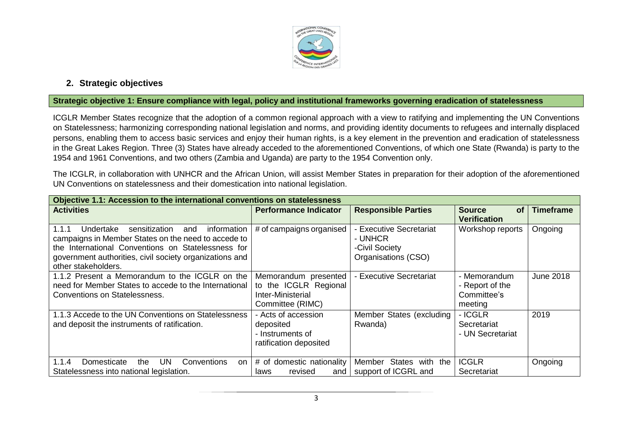

## **2. Strategic objectives**

#### **Strategic objective 1: Ensure compliance with legal, policy and institutional frameworks governing eradication of statelessness**

ICGLR Member States recognize that the adoption of a common regional approach with a view to ratifying and implementing the UN Conventions on Statelessness; harmonizing corresponding national legislation and norms, and providing identity documents to refugees and internally displaced persons, enabling them to access basic services and enjoy their human rights, is a key element in the prevention and eradication of statelessness in the Great Lakes Region. Three (3) States have already acceded to the aforementioned Conventions, of which one State (Rwanda) is party to the 1954 and 1961 Conventions, and two others (Zambia and Uganda) are party to the 1954 Convention only.

The ICGLR, in collaboration with UNHCR and the African Union, will assist Member States in preparation for their adoption of the aforementioned UN Conventions on statelessness and their domestication into national legislation.

| Objective 1.1: Accession to the international conventions on statelessness                                                                                                                                                                               |                                                                                        |                                                                                  |                                                           |                  |  |
|----------------------------------------------------------------------------------------------------------------------------------------------------------------------------------------------------------------------------------------------------------|----------------------------------------------------------------------------------------|----------------------------------------------------------------------------------|-----------------------------------------------------------|------------------|--|
| <b>Activities</b>                                                                                                                                                                                                                                        | <b>Performance Indicator</b>                                                           | <b>Responsible Parties</b>                                                       | <b>Source</b><br><b>of</b><br><b>Verification</b>         | <b>Timeframe</b> |  |
| sensitization<br>information<br>1.1.1<br>Undertake<br>and<br>campaigns in Member States on the need to accede to<br>the International Conventions on Statelessness for<br>government authorities, civil society organizations and<br>other stakeholders. | # of campaigns organised                                                               | <b>Executive Secretariat</b><br>- UNHCR<br>-Civil Society<br>Organisations (CSO) | Workshop reports                                          | Ongoing          |  |
| 1.1.2 Present a Memorandum to the ICGLR on the<br>need for Member States to accede to the International<br><b>Conventions on Statelessness.</b>                                                                                                          | Memorandum presented<br>to the ICGLR Regional<br>Inter-Ministerial<br>Committee (RIMC) | - Executive Secretariat                                                          | - Memorandum<br>- Report of the<br>Committee's<br>meeting | <b>June 2018</b> |  |
| 1.1.3 Accede to the UN Conventions on Statelessness<br>and deposit the instruments of ratification.                                                                                                                                                      | - Acts of accession<br>deposited<br>- Instruments of<br>ratification deposited         | Member States (excluding<br>Rwanda)                                              | - ICGLR<br>Secretariat<br>- UN Secretariat                | 2019             |  |
| UN.<br>1.1.4<br>Domesticate<br>Conventions<br>on<br>the.<br>Statelessness into national legislation.                                                                                                                                                     | # of domestic nationality<br>revised<br>laws<br>and                                    | States with the<br>Member<br>support of ICGRL and                                | <b>ICGLR</b><br>Secretariat                               | Ongoing          |  |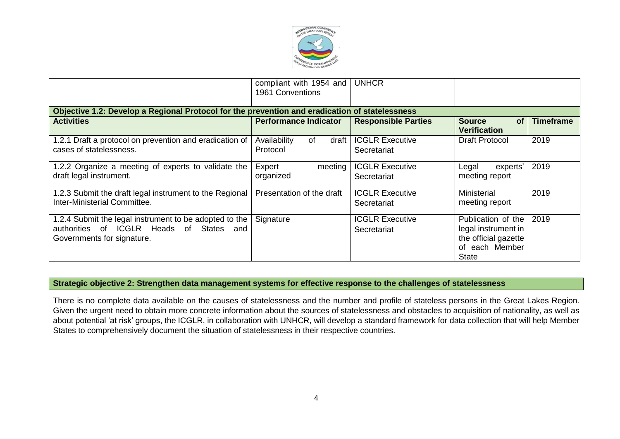

|                                                                                                                                  | compliant with 1954 and<br>1961 Conventions | <b>UNHCR</b>                          |                                                                                                     |                  |
|----------------------------------------------------------------------------------------------------------------------------------|---------------------------------------------|---------------------------------------|-----------------------------------------------------------------------------------------------------|------------------|
| Objective 1.2: Develop a Regional Protocol for the prevention and eradication of statelessness                                   |                                             |                                       |                                                                                                     |                  |
| <b>Activities</b>                                                                                                                | <b>Performance Indicator</b>                | <b>Responsible Parties</b>            | <b>of</b><br><b>Source</b><br><b>Verification</b>                                                   | <b>Timeframe</b> |
| 1.2.1 Draft a protocol on prevention and eradication of<br>cases of statelessness.                                               | Availability<br>of<br>draft<br>Protocol     | <b>ICGLR Executive</b><br>Secretariat | Draft Protocol                                                                                      | 2019             |
| 1.2.2 Organize a meeting of experts to validate the<br>draft legal instrument.                                                   | Expert<br>meeting<br>organized              | <b>ICGLR Executive</b><br>Secretariat | Legal<br>experts'<br>meeting report                                                                 | 2019             |
| 1.2.3 Submit the draft legal instrument to the Regional<br>Inter-Ministerial Committee.                                          | Presentation of the draft                   | <b>ICGLR Executive</b><br>Secretariat | Ministerial<br>meeting report                                                                       | 2019             |
| 1.2.4 Submit the legal instrument to be adopted to the<br>authorities of ICGLR Heads of States and<br>Governments for signature. | Signature                                   | <b>ICGLR Executive</b><br>Secretariat | Publication of the<br>legal instrument in<br>the official gazette<br>of each Member<br><b>State</b> | 2019             |

#### **Strategic objective 2: Strengthen data management systems for effective response to the challenges of statelessness**

There is no complete data available on the causes of statelessness and the number and profile of stateless persons in the Great Lakes Region. Given the urgent need to obtain more concrete information about the sources of statelessness and obstacles to acquisition of nationality, as well as about potential 'at risk' groups, the ICGLR, in collaboration with UNHCR, will develop a standard framework for data collection that will help Member States to comprehensively document the situation of statelessness in their respective countries.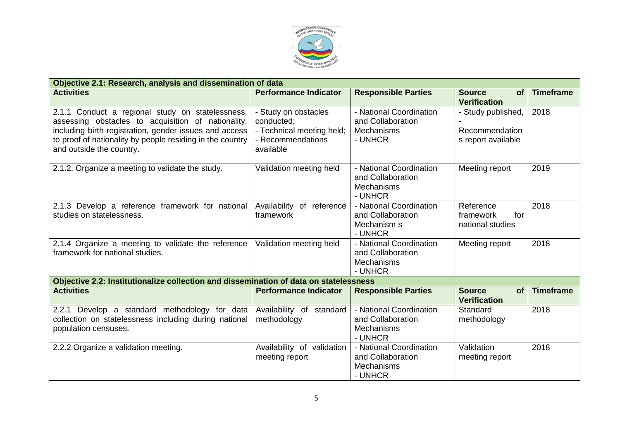

| Objective 2.1: Research, analysis and dissemination of data                                                                                                                                                                                               |                                                                                                   |                                                                              |                                                            |                  |  |
|-----------------------------------------------------------------------------------------------------------------------------------------------------------------------------------------------------------------------------------------------------------|---------------------------------------------------------------------------------------------------|------------------------------------------------------------------------------|------------------------------------------------------------|------------------|--|
| <b>Activities</b>                                                                                                                                                                                                                                         | <b>Performance Indicator</b>                                                                      | <b>Responsible Parties</b>                                                   | <b>Source</b><br><b>of</b><br><b>Verification</b>          | <b>Timeframe</b> |  |
| 2.1.1 Conduct a regional study on statelessness,<br>assessing obstacles to acquisition of nationality,<br>including birth registration, gender issues and access<br>to proof of nationality by people residing in the country<br>and outside the country. | - Study on obstacles<br>conducted:<br>- Technical meeting held;<br>- Recommendations<br>available | - National Coordination<br>and Collaboration<br><b>Mechanisms</b><br>- UNHCR | - Study published,<br>Recommendation<br>s report available | 2018             |  |
| 2.1.2. Organize a meeting to validate the study.                                                                                                                                                                                                          | Validation meeting held                                                                           | - National Coordination<br>and Collaboration<br><b>Mechanisms</b><br>- UNHCR | Meeting report                                             | 2019             |  |
| 2.1.3 Develop a reference framework for national<br>studies on statelessness.                                                                                                                                                                             | Availability of reference<br>framework                                                            | - National Coordination<br>and Collaboration<br>Mechanism s<br>- UNHCR       | Reference<br>for<br>framework<br>national studies          | 2018             |  |
| 2.1.4 Organize a meeting to validate the reference<br>framework for national studies.                                                                                                                                                                     | Validation meeting held                                                                           | - National Coordination<br>and Collaboration<br><b>Mechanisms</b><br>- UNHCR | Meeting report                                             | 2018             |  |
| Objective 2.2: Institutionalize collection and dissemination of data on statelessness                                                                                                                                                                     |                                                                                                   |                                                                              |                                                            |                  |  |
| <b>Activities</b>                                                                                                                                                                                                                                         | <b>Performance Indicator</b>                                                                      | <b>Responsible Parties</b>                                                   | <b>Source</b><br><b>of</b><br><b>Verification</b>          | <b>Timeframe</b> |  |
| 2.2.1 Develop a standard methodology for data<br>collection on statelessness including during national<br>population censuses.                                                                                                                            | Availability of standard<br>methodology                                                           | - National Coordination<br>and Collaboration<br><b>Mechanisms</b><br>- UNHCR | Standard<br>methodology                                    | 2018             |  |
| 2.2.2 Organize a validation meeting.                                                                                                                                                                                                                      | Availability of validation<br>meeting report                                                      | - National Coordination<br>and Collaboration<br><b>Mechanisms</b><br>- UNHCR | Validation<br>meeting report                               | 2018             |  |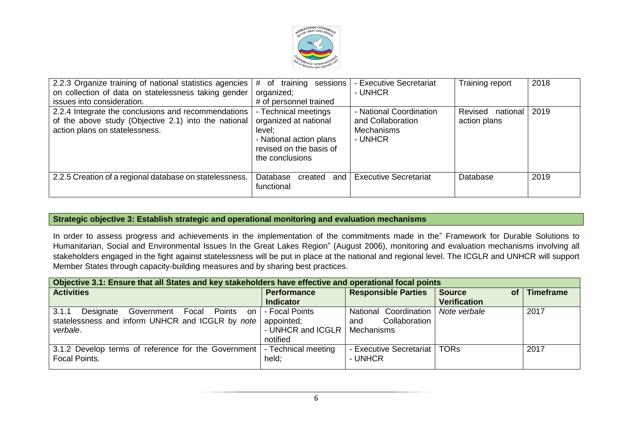

| 2.2.3 Organize training of national statistics agencies<br>on collection of data on statelessness taking gender<br>issues into consideration. | training<br>$#$ of<br>sessions<br>organized;<br># of personnel trained                                                           | - Executive Secretariat<br>- UNHCR                                           | Training report                     | 2018 |
|-----------------------------------------------------------------------------------------------------------------------------------------------|----------------------------------------------------------------------------------------------------------------------------------|------------------------------------------------------------------------------|-------------------------------------|------|
| 2.2.4 Integrate the conclusions and recommendations<br>of the above study (Objective 2.1) into the national<br>action plans on statelessness. | - Technical meetings<br>organized at national<br>level:<br>- National action plans<br>revised on the basis of<br>the conclusions | - National Coordination<br>and Collaboration<br><b>Mechanisms</b><br>- UNHCR | Revised<br>national<br>action plans | 2019 |
| 2.2.5 Creation of a regional database on statelessness.                                                                                       | Database<br>created<br>and<br>functional                                                                                         | <b>Executive Secretariat</b>                                                 | Database                            | 2019 |

#### **Strategic objective 3: Establish strategic and operational monitoring and evaluation mechanisms**

In order to assess progress and achievements in the implementation of the commitments made in the" Framework for Durable Solutions to Humanitarian, Social and Environmental Issues In the Great Lakes Region" (August 2006), monitoring and evaluation mechanisms involving all stakeholders engaged in the fight against statelessness will be put in place at the national and regional level. The ICGLR and UNHCR will support Member States through capacity-building measures and by sharing best practices.

| Objective 3.1: Ensure that all States and key stakeholders have effective and operational focal points |                     |                            |                            |           |  |
|--------------------------------------------------------------------------------------------------------|---------------------|----------------------------|----------------------------|-----------|--|
| <b>Activities</b>                                                                                      | <b>Performance</b>  | <b>Responsible Parties</b> | <b>Source</b><br><b>of</b> | Timeframe |  |
|                                                                                                        | <b>Indicator</b>    |                            | <b>Verification</b>        |           |  |
| Government Focal Points<br>3.1.1<br>Designate<br>on                                                    | - Focal Points      | National Coordination      | Note verbale               | 2017      |  |
| statelessness and inform UNHCR and ICGLR by note                                                       | appointed;          | Collaboration<br>and       |                            |           |  |
| verbale.                                                                                               | - UNHCR and ICGLR   | Mechanisms                 |                            |           |  |
|                                                                                                        | notified            |                            |                            |           |  |
| 3.1.2 Develop terms of reference for the Government                                                    | - Technical meeting | - Executive Secretariat    | <b>TORs</b>                | 2017      |  |
| Focal Points.                                                                                          | held:               | - UNHCR                    |                            |           |  |
|                                                                                                        |                     |                            |                            |           |  |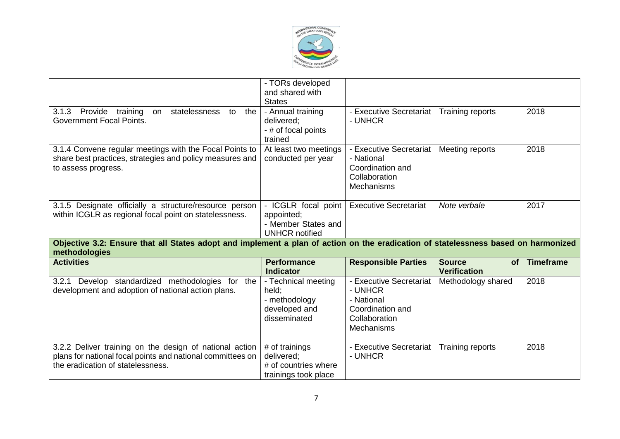

|                                                                                                                                                                      | - TORs developed<br>and shared with<br><b>States</b>                                             |                                                                                                                                       |                                                   |                  |
|----------------------------------------------------------------------------------------------------------------------------------------------------------------------|--------------------------------------------------------------------------------------------------|---------------------------------------------------------------------------------------------------------------------------------------|---------------------------------------------------|------------------|
| Provide training<br>statelessness to<br>3.1.3<br>the<br>on<br><b>Government Focal Points.</b>                                                                        | - Annual training<br>delivered;<br>- # of focal points<br>trained                                | - Executive Secretariat<br>- UNHCR                                                                                                    | Training reports                                  | 2018             |
| 3.1.4 Convene regular meetings with the Focal Points to<br>share best practices, strategies and policy measures and<br>to assess progress.                           | At least two meetings<br>conducted per year                                                      | - Executive Secretariat<br>- National<br>Coordination and<br>Collaboration<br><b>Mechanisms</b>                                       | Meeting reports                                   | 2018             |
| 3.1.5 Designate officially a structure/resource person<br>within ICGLR as regional focal point on statelessness.                                                     | - ICGLR focal point<br>appointed;<br>- Member States and                                         | <b>Executive Secretariat</b>                                                                                                          | Note verbale                                      | 2017             |
|                                                                                                                                                                      | <b>UNHCR notified</b>                                                                            |                                                                                                                                       |                                                   |                  |
| Objective 3.2: Ensure that all States adopt and implement a plan of action on the eradication of statelessness based on harmonized<br>methodologies                  |                                                                                                  |                                                                                                                                       |                                                   |                  |
| <b>Activities</b>                                                                                                                                                    | <b>Performance</b><br><b>Indicator</b>                                                           | <b>Responsible Parties</b>                                                                                                            | <b>Source</b><br><b>of</b><br><b>Verification</b> | <b>Timeframe</b> |
| Develop standardized methodologies for the<br>3.2.1<br>development and adoption of national action plans.<br>3.2.2 Deliver training on the design of national action | - Technical meeting<br>held;<br>- methodology<br>developed and<br>disseminated<br># of trainings | - Executive Secretariat<br>- UNHCR<br>- National<br>Coordination and<br>Collaboration<br><b>Mechanisms</b><br>- Executive Secretariat | Methodology shared<br>Training reports            | 2018<br>2018     |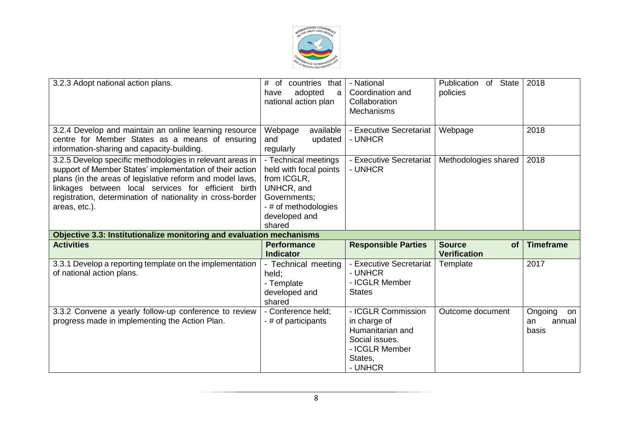

| 3.2.3 Adopt national action plans.                                                                                                                                                                                                                                                                                       | #<br>countries that<br>of<br>adopted<br>have<br>a<br>national action plan                                                                      | - National<br>Coordination and<br>Collaboration<br><b>Mechanisms</b>                                             | of State<br>Publication<br>policies               | 2018                                   |
|--------------------------------------------------------------------------------------------------------------------------------------------------------------------------------------------------------------------------------------------------------------------------------------------------------------------------|------------------------------------------------------------------------------------------------------------------------------------------------|------------------------------------------------------------------------------------------------------------------|---------------------------------------------------|----------------------------------------|
| 3.2.4 Develop and maintain an online learning resource<br>centre for Member States as a means of ensuring<br>information-sharing and capacity-building.                                                                                                                                                                  | available<br>Webpage<br>updated<br>and<br>regularly                                                                                            | - Executive Secretariat<br>- UNHCR                                                                               | Webpage                                           | 2018                                   |
| 3.2.5 Develop specific methodologies in relevant areas in<br>support of Member States' implementation of their action<br>plans (in the areas of legislative reform and model laws,<br>linkages between local services for efficient birth<br>registration, determination of nationality in cross-border<br>areas, etc.). | - Technical meetings<br>held with focal points<br>from ICGLR,<br>UNHCR, and<br>Governments;<br>- # of methodologies<br>developed and<br>shared | - Executive Secretariat<br>- UNHCR                                                                               | Methodologies shared                              | 2018                                   |
| Objective 3.3: Institutionalize monitoring and evaluation mechanisms                                                                                                                                                                                                                                                     |                                                                                                                                                |                                                                                                                  |                                                   |                                        |
| <b>Activities</b>                                                                                                                                                                                                                                                                                                        | <b>Performance</b><br><b>Indicator</b>                                                                                                         | <b>Responsible Parties</b>                                                                                       | <b>Source</b><br><b>of</b><br><b>Verification</b> | <b>Timeframe</b>                       |
| 3.3.1 Develop a reporting template on the implementation<br>of national action plans.                                                                                                                                                                                                                                    | - Technical meeting<br>held;<br>- Template<br>developed and<br>shared                                                                          | - Executive Secretariat<br>- UNHCR<br>- ICGLR Member<br><b>States</b>                                            | Template                                          | 2017                                   |
| 3.3.2 Convene a yearly follow-up conference to review<br>progress made in implementing the Action Plan.                                                                                                                                                                                                                  | - Conference held;<br>- # of participants                                                                                                      | - ICGLR Commission<br>in charge of<br>Humanitarian and<br>Social issues.<br>- ICGLR Member<br>States,<br>- UNHCR | Outcome document                                  | Ongoing<br>on<br>annual<br>an<br>basis |